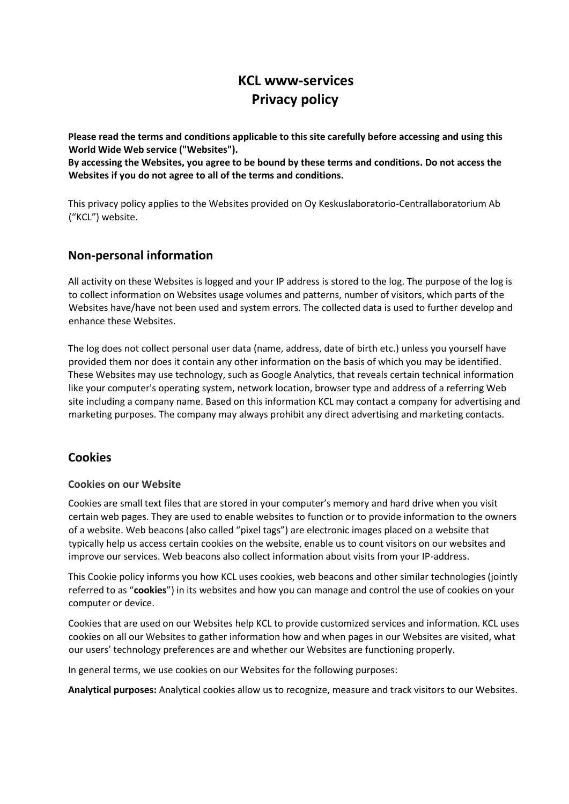## **KCL www-services Privacy policy**

**Please read the terms and conditions applicable to this site carefully before accessing and using this World Wide Web service ("Websites").**

**By accessing the Websites, you agree to be bound by these terms and conditions. Do not access the Websites if you do not agree to all of the terms and conditions.** 

This privacy policy applies to the Websites provided on Oy Keskuslaboratorio-Centrallaboratorium Ab ("KCL") website.

## **Non-personal information**

All activity on these Websites is logged and your IP address is stored to the log. The purpose of the log is to collect information on Websites usage volumes and patterns, number of visitors, which parts of the Websites have/have not been used and system errors. The collected data is used to further develop and enhance these Websites.

The log does not collect personal user data (name, address, date of birth etc.) unless you yourself have provided them nor does it contain any other information on the basis of which you may be identified. These Websites may use technology, such as Google Analytics, that reveals certain technical information like your computer's operating system, network location, browser type and address of a referring Web site including a company name. Based on this information KCL may contact a company for advertising and marketing purposes. The company may always prohibit any direct advertising and marketing contacts.

#### **Cookies**

#### **Cookies on our Website**

Cookies are small text files that are stored in your computer's memory and hard drive when you visit certain web pages. They are used to enable websites to function or to provide information to the owners of a website. Web beacons (also called "pixel tags") are electronic images placed on a website that typically help us access certain cookies on the website, enable us to count visitors on our websites and improve our services. Web beacons also collect information about visits from your IP-address.

This Cookie policy informs you how KCL uses cookies, web beacons and other similar technologies (jointly referred to as "**cookies**") in its websites and how you can manage and control the use of cookies on your computer or device.

Cookies that are used on our Websites help KCL to provide customized services and information. KCL uses cookies on all our Websites to gather information how and when pages in our Websites are visited, what our users' technology preferences are and whether our Websites are functioning properly.

In general terms, we use cookies on our Websites for the following purposes:

**Analytical purposes:** Analytical cookies allow us to recognize, measure and track visitors to our Websites.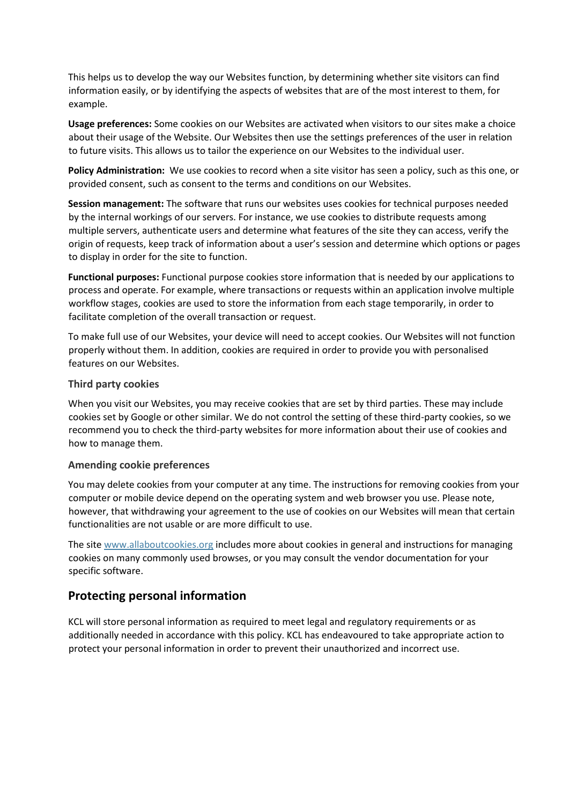This helps us to develop the way our Websites function, by determining whether site visitors can find information easily, or by identifying the aspects of websites that are of the most interest to them, for example.

**Usage preferences:** Some cookies on our Websites are activated when visitors to our sites make a choice about their usage of the Website. Our Websites then use the settings preferences of the user in relation to future visits. This allows us to tailor the experience on our Websites to the individual user.

**Policy Administration:** We use cookies to record when a site visitor has seen a policy, such as this one, or provided consent, such as consent to the terms and conditions on our Websites.

**Session management:** The software that runs our websites uses cookies for technical purposes needed by the internal workings of our servers. For instance, we use cookies to distribute requests among multiple servers, authenticate users and determine what features of the site they can access, verify the origin of requests, keep track of information about a user's session and determine which options or pages to display in order for the site to function.

**Functional purposes:** Functional purpose cookies store information that is needed by our applications to process and operate. For example, where transactions or requests within an application involve multiple workflow stages, cookies are used to store the information from each stage temporarily, in order to facilitate completion of the overall transaction or request.

To make full use of our Websites, your device will need to accept cookies. Our Websites will not function properly without them. In addition, cookies are required in order to provide you with personalised features on our Websites.

#### **Third party cookies**

When you visit our Websites, you may receive cookies that are set by third parties. These may include cookies set by Google or other similar. We do not control the setting of these third-party cookies, so we recommend you to check the third-party websites for more information about their use of cookies and how to manage them.

#### **Amending cookie preferences**

You may delete cookies from your computer at any time. The instructions for removing cookies from your computer or mobile device depend on the operating system and web browser you use. Please note, however, that withdrawing your agreement to the use of cookies on our Websites will mean that certain functionalities are not usable or are more difficult to use.

The site [www.allaboutcookies.org](http://www.allaboutcookies.org/) [i](http://www.allaboutcookies.org/)ncludes more about cookies in general and instructions for managing cookies on many commonly used browses, or you may consult the vendor documentation for your specific software.

#### **Protecting personal information**

KCL will store personal information as required to meet legal and regulatory requirements or as additionally needed in accordance with this policy. KCL has endeavoured to take appropriate action to protect your personal information in order to prevent their unauthorized and incorrect use.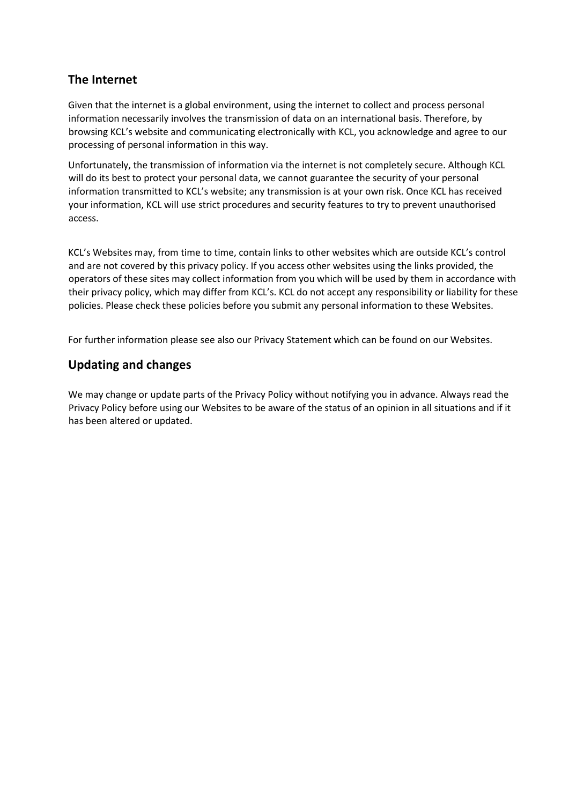## **The Internet**

Given that the internet is a global environment, using the internet to collect and process personal information necessarily involves the transmission of data on an international basis. Therefore, by browsing KCL's website and communicating electronically with KCL, you acknowledge and agree to our processing of personal information in this way.

Unfortunately, the transmission of information via the internet is not completely secure. Although KCL will do its best to protect your personal data, we cannot guarantee the security of your personal information transmitted to KCL's website; any transmission is at your own risk. Once KCL has received your information, KCL will use strict procedures and security features to try to prevent unauthorised access.

KCL's Websites may, from time to time, contain links to other websites which are outside KCL's control and are not covered by this privacy policy. If you access other websites using the links provided, the operators of these sites may collect information from you which will be used by them in accordance with their privacy policy, which may differ from KCL's. KCL do not accept any responsibility or liability for these policies. Please check these policies before you submit any personal information to these Websites.

For further information please see also our Privacy Statement which can be found on our Websites.

## **Updating and changes**

We may change or update parts of the Privacy Policy without notifying you in advance. Always read the Privacy Policy before using our Websites to be aware of the status of an opinion in all situations and if it has been altered or updated.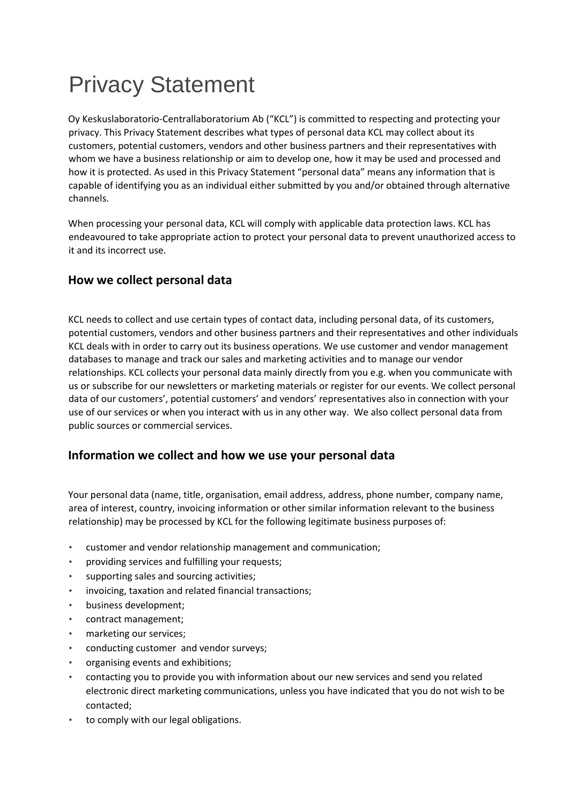# Privacy Statement

Oy Keskuslaboratorio-Centrallaboratorium Ab ("KCL") is committed to respecting and protecting your privacy. This Privacy Statement describes what types of personal data KCL may collect about its customers, potential customers, vendors and other business partners and their representatives with whom we have a business relationship or aim to develop one, how it may be used and processed and how it is protected. As used in this Privacy Statement "personal data" means any information that is capable of identifying you as an individual either submitted by you and/or obtained through alternative channels.

When processing your personal data, KCL will comply with applicable data protection laws. KCL has endeavoured to take appropriate action to protect your personal data to prevent unauthorized access to it and its incorrect use.

## **How we collect personal data**

KCL needs to collect and use certain types of contact data, including personal data, of its customers, potential customers, vendors and other business partners and their representatives and other individuals KCL deals with in order to carry out its business operations. We use customer and vendor management databases to manage and track our sales and marketing activities and to manage our vendor relationships. KCL collects your personal data mainly directly from you e.g. when you communicate with us or subscribe for our newsletters or marketing materials or register for our events. We collect personal data of our customers', potential customers' and vendors' representatives also in connection with your use of our services or when you interact with us in any other way. We also collect personal data from public sources or commercial services.

## **Information we collect and how we use your personal data**

Your personal data (name, title, organisation, email address, address, phone number, company name, area of interest, country, invoicing information or other similar information relevant to the business relationship) may be processed by KCL for the following legitimate business purposes of:

- customer and vendor relationship management and communication;
- providing services and fulfilling your requests;
- supporting sales and sourcing activities;
- invoicing, taxation and related financial transactions;
- business development;
- contract management;
- marketing our services;
- conducting customer and vendor surveys;
- organising events and exhibitions;
- contacting you to provide you with information about our new services and send you related electronic direct marketing communications, unless you have indicated that you do not wish to be contacted;
- to comply with our legal obligations.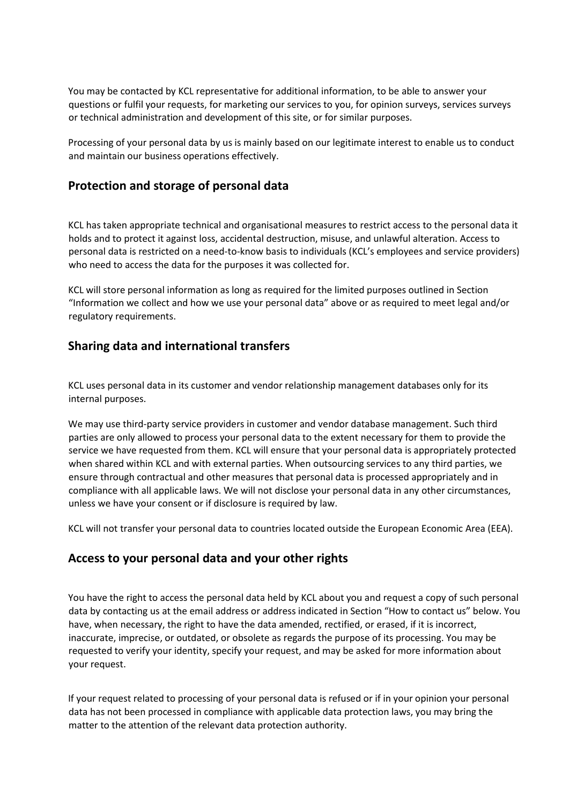You may be contacted by KCL representative for additional information, to be able to answer your questions or fulfil your requests, for marketing our services to you, for opinion surveys, services surveys or technical administration and development of this site, or for similar purposes.

Processing of your personal data by us is mainly based on our legitimate interest to enable us to conduct and maintain our business operations effectively.

#### **Protection and storage of personal data**

KCL has taken appropriate technical and organisational measures to restrict access to the personal data it holds and to protect it against loss, accidental destruction, misuse, and unlawful alteration. Access to personal data is restricted on a need-to-know basis to individuals (KCL's employees and service providers) who need to access the data for the purposes it was collected for.

KCL will store personal information as long as required for the limited purposes outlined in Section "Information we collect and how we use your personal data" above or as required to meet legal and/or regulatory requirements.

## **Sharing data and international transfers**

KCL uses personal data in its customer and vendor relationship management databases only for its internal purposes.

We may use third-party service providers in customer and vendor database management. Such third parties are only allowed to process your personal data to the extent necessary for them to provide the service we have requested from them. KCL will ensure that your personal data is appropriately protected when shared within KCL and with external parties. When outsourcing services to any third parties, we ensure through contractual and other measures that personal data is processed appropriately and in compliance with all applicable laws. We will not disclose your personal data in any other circumstances, unless we have your consent or if disclosure is required by law.

KCL will not transfer your personal data to countries located outside the European Economic Area (EEA).

## **Access to your personal data and your other rights**

You have the right to access the personal data held by KCL about you and request a copy of such personal data by contacting us at the email address or address indicated in Section "How to contact us" below. You have, when necessary, the right to have the data amended, rectified, or erased, if it is incorrect, inaccurate, imprecise, or outdated, or obsolete as regards the purpose of its processing. You may be requested to verify your identity, specify your request, and may be asked for more information about your request.

If your request related to processing of your personal data is refused or if in your opinion your personal data has not been processed in compliance with applicable data protection laws, you may bring the matter to the attention of the relevant data protection authority.